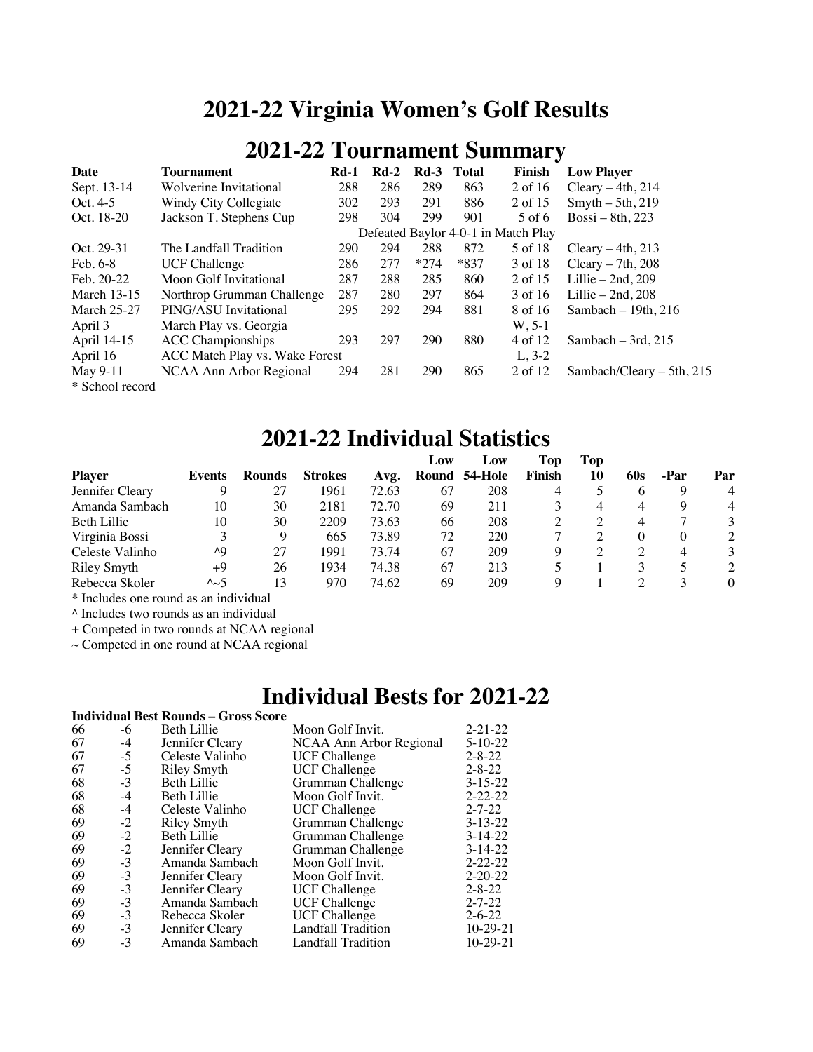## **2021-22 Virginia Women's Golf Results**

## **2021-22 Tournament Summary**

| Date               | <b>Tournament</b>              | $Rd-1$ | $Rd-2$ | $Rd-3$ | <b>Total</b> | Finish                              | <b>Low Player</b>           |
|--------------------|--------------------------------|--------|--------|--------|--------------|-------------------------------------|-----------------------------|
| Sept. 13-14        | Wolverine Invitational         | 288    | 286    | 289    | 863          | 2 of 16                             | Cleary $-4th$ , 214         |
| Oct. $4-5$         | Windy City Collegiate          | 302    | 293    | 291    | 886          | 2 of 15                             | $S$ myth $-5$ th, 219       |
| Oct. 18-20         | Jackson T. Stephens Cup        | 298    | 304    | 299    | 901          | 5 of 6                              | Bossi – 8th, 223            |
|                    |                                |        |        |        |              | Defeated Baylor 4-0-1 in Match Play |                             |
| Oct. 29-31         | The Landfall Tradition         | 290    | 294    | 288    | 872          | 5 of 18                             | Cleary $-4th$ , 213         |
| Feb. 6-8           | <b>UCF Challenge</b>           | 286    | 277    | $*274$ | $*837$       | 3 of 18                             | Cleary $-7th$ , 208         |
| Feb. 20-22         | Moon Golf Invitational         | 287    | 288    | 285    | 860          | 2 of 15                             | Lillie $-2nd$ , 209         |
| <b>March 13-15</b> | Northrop Grumman Challenge     | 287    | 280    | 297    | 864          | 3 of 16                             | Lillie $-2nd$ , 208         |
| <b>March 25-27</b> | PING/ASU Invitational          | 295    | 292    | 294    | 881          | 8 of 16                             | Sambach $-19th$ , 216       |
| April 3            | March Play vs. Georgia         |        |        |        |              | $W, 5-1$                            |                             |
| April 14-15        | <b>ACC</b> Championships       | 293    | 297    | 290    | 880          | 4 of 12                             | Sambach $-3rd$ , 215        |
| April 16           | ACC Match Play vs. Wake Forest |        |        |        |              | $L, 3-2$                            |                             |
| May 9-11           | NCAA Ann Arbor Regional        | 294    | 281    | 290    | 865          | 2 of 12                             | Sambach/Cleary $-$ 5th, 215 |
| * School record    |                                |        |        |        |              |                                     |                             |

### **2021-22 Individual Statistics**

|                 |                   |               |                |       | Low   | Low     | Top    | Top |     |          |                |
|-----------------|-------------------|---------------|----------------|-------|-------|---------|--------|-----|-----|----------|----------------|
| <b>Player</b>   | Events            | <b>Rounds</b> | <b>Strokes</b> | Avg.  | Round | 54-Hole | Finish | 10  | 60s | -Par     | Par            |
| Jennifer Cleary |                   | 27            | 1961           | 72.63 | 67    | 208     | 4      |     | O   |          | $\overline{4}$ |
| Amanda Sambach  | 10                | 30            | 2181           | 72.70 | 69    | 211     |        | 4   | 4   | Q        | 4              |
| Beth Lillie     | 10                | 30            | 2209           | 73.63 | 66    | 208     |        |     | 4   |          | 3              |
| Virginia Bossi  |                   | 9             | 665            | 73.89 | 72    | 220     |        |     |     |          |                |
| Celeste Valinho | ٨Q                | 27            | 1991           | 73.74 | 67    | 209     |        |     |     | $\Delta$ | 3              |
| Riley Smyth     | +9                | 26            | 1934           | 74.38 | 67    | 213     |        |     |     |          | $\overline{2}$ |
| Rebecca Skoler  | $\lambda_{\sim}5$ | 13            | 970            | 74.62 | 69    | 209     |        |     |     |          | $\Omega$       |

\* Includes one round as an individual

^ Includes two rounds as an individual

+ Competed in two rounds at NCAA regional

 $\sim$  Competed in one round at NCAA regional

### **Individual Bests for 2021-22**

|    |              | <b>Individual Best Rounds – Gross Score</b> |                         |               |
|----|--------------|---------------------------------------------|-------------------------|---------------|
| 66 | -6           | Beth Lillie                                 | Moon Golf Invit.        | $2 - 21 - 22$ |
| 67 | $-4$         | Jennifer Cleary                             | NCAA Ann Arbor Regional | $5 - 10 - 22$ |
| 67 | $-5$         | Celeste Valinho                             | <b>UCF Challenge</b>    | $2 - 8 - 22$  |
| 67 | $-5$         | Riley Smyth                                 | <b>UCF Challenge</b>    | $2 - 8 - 22$  |
| 68 | $-3$         | Beth Lillie                                 | Grumman Challenge       | $3 - 15 - 22$ |
| 68 | $-4$         | Beth Lillie                                 | Moon Golf Invit.        | $2 - 22 - 22$ |
| 68 | $-4$         | Celeste Valinho                             | <b>UCF Challenge</b>    | $2 - 7 - 22$  |
| 69 | $-2$<br>$-2$ | <b>Riley Smyth</b>                          | Grumman Challenge       | $3 - 13 - 22$ |
| 69 |              | Beth Lillie                                 | Grumman Challenge       | $3-14-22$     |
| 69 | $-2$         | Jennifer Cleary                             | Grumman Challenge       | $3-14-22$     |
| 69 | $-3$         | Amanda Sambach                              | Moon Golf Invit.        | $2 - 22 - 22$ |
| 69 | $-3$         | Jennifer Cleary                             | Moon Golf Invit.        | $2 - 20 - 22$ |
| 69 | $-3$         | Jennifer Cleary                             | <b>UCF Challenge</b>    | $2 - 8 - 22$  |
| 69 | $-3$         | Amanda Sambach                              | <b>UCF Challenge</b>    | $2 - 7 - 22$  |
| 69 | $-3$         | Rebecca Skoler                              | <b>UCF</b> Challenge    | $2 - 6 - 22$  |
| 69 | $-3$         | Jennifer Cleary                             | Landfall Tradition      | $10-29-21$    |
| 69 | $-3$         | Amanda Sambach                              | Landfall Tradition      | $10-29-21$    |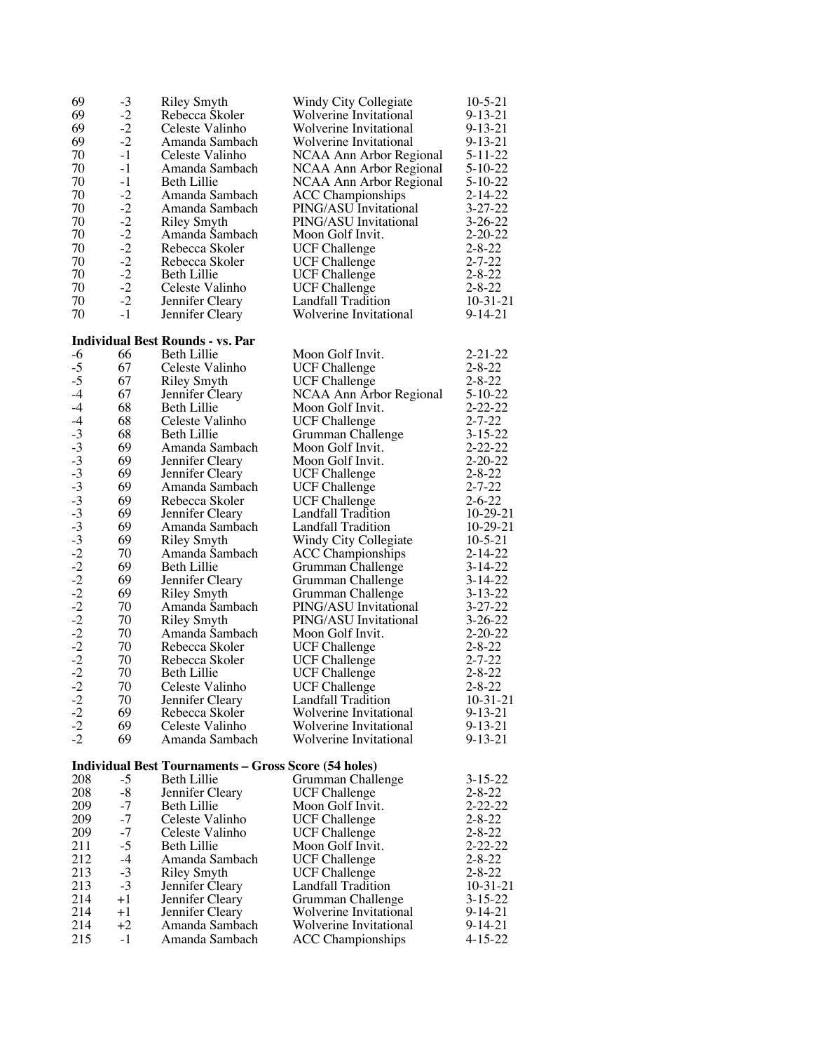| 69                           | $-3$         | <b>Riley Smyth</b>                                          | Windy City Collegiate                         | $10-5-21$                      |
|------------------------------|--------------|-------------------------------------------------------------|-----------------------------------------------|--------------------------------|
| 69                           | $-2$         | Rebecca Skoler                                              | Wolverine Invitational                        | $9 - 13 - 21$                  |
| 69                           | $-2$         | Celeste Valinho                                             | Wolverine Invitational                        | $9 - 13 - 21$                  |
| 69                           | $-2$         | Amanda Sambach                                              | Wolverine Invitational                        | $9 - 13 - 21$                  |
| 70                           | $-1$         | Celeste Valinho                                             | NCAA Ann Arbor Regional                       | $5 - 11 - 22$                  |
| 70                           | $-1$         | Amanda Sambach                                              | NCAA Ann Arbor Regional                       | $5-10-22$                      |
| 70                           | $-1$         | Beth Lillie                                                 | NCAA Ann Arbor Regional                       | $5 - 10 - 22$                  |
| 70                           | $-2$         | Amanda Sambach                                              | <b>ACC Championships</b>                      | $2 - 14 - 22$                  |
| 70                           | $-2$         | Amanda Sambach                                              | PING/ASU Invitational                         | $3 - 27 - 22$                  |
| 70                           | $-2$         | <b>Riley Smyth</b>                                          | PING/ASU Invitational                         | $3 - 26 - 22$                  |
| 70                           | $-2$         | Amanda Sambach                                              | Moon Golf Invit.                              | $2 - 20 - 22$                  |
| 70                           | $-2$<br>$-2$ | Rebecca Skoler                                              | <b>UCF Challenge</b>                          | $2 - 8 - 22$                   |
| 70<br>70                     | $-2$         | Rebecca Skoler<br>Beth Lillie                               | <b>UCF Challenge</b>                          | $2 - 7 - 22$<br>$2 - 8 - 22$   |
| 70                           | $-2$         | Celeste Valinho                                             | <b>UCF Challenge</b><br><b>UCF Challenge</b>  | $2 - 8 - 22$                   |
| 70                           | $-2$         | Jennifer Cleary                                             | Landfall Tradition                            | $10-31-21$                     |
| 70                           | $-1$         | Jennifer Cleary                                             | Wolverine Invitational                        | $9 - 14 - 21$                  |
|                              |              |                                                             |                                               |                                |
|                              |              | <b>Individual Best Rounds - vs. Par</b>                     |                                               |                                |
| $-6$                         | 66           | Beth Lillie                                                 | Moon Golf Invit.                              | $2 - 21 - 22$                  |
| $-5$                         | 67           | Celeste Valinho                                             | <b>UCF Challenge</b>                          | $2 - 8 - 22$                   |
| $-5$                         | 67           | <b>Riley Smyth</b>                                          | <b>UCF Challenge</b>                          | $2 - 8 - 22$                   |
| $-4$                         | 67           | Jennifer Cleary                                             | NCAA Ann Arbor Regional                       | $5 - 10 - 22$                  |
| $-4$                         | 68           | Beth Lillie                                                 | Moon Golf Invit.                              | $2 - 22 - 22$                  |
| $-4$                         | 68           | Celeste Valinho                                             | <b>UCF Challenge</b>                          | $2 - 7 - 22$                   |
|                              | 68           | <b>Beth Lillie</b>                                          | Grumman Challenge                             | $3 - 15 - 22$                  |
|                              | 69           | Amanda Sambach                                              | Moon Golf Invit.                              | $2 - 22 - 22$                  |
|                              | 69           | Jennifer Cleary                                             | Moon Golf Invit.                              | $2 - 20 - 22$                  |
|                              | 69           | Jennifer Cleary                                             | <b>UCF Challenge</b>                          | $2 - 8 - 22$                   |
|                              | 69           | Amanda Sambach                                              | <b>UCF Challenge</b>                          | $2 - 7 - 22$                   |
|                              | 69           | Rebecca Skoler                                              | <b>UCF Challenge</b>                          | $2 - 6 - 22$                   |
|                              | 69           | Jennifer Cleary                                             | Landfall Tradition                            | $10-29-21$                     |
|                              | 69<br>69     | Amanda Sambach                                              | Landfall Tradition                            | $10-29-21$                     |
|                              | 70           | Riley Smyth<br>Amanda Sambach                               | Windy City Collegiate                         | $10 - 5 - 21$<br>$2 - 14 - 22$ |
|                              | 69           | Beth Lillie                                                 | <b>ACC</b> Championships<br>Grumman Challenge | $3 - 14 - 22$                  |
|                              | 69           | Jennifer Cleary                                             | Grumman Challenge                             | $3 - 14 - 22$                  |
|                              | 69           | Riley Smyth                                                 | Grumman Challenge                             | $3 - 13 - 22$                  |
|                              | 70           | Amanda Sambach                                              | PING/ASU Invitational                         | $3 - 27 - 22$                  |
|                              | 70           | Riley Smyth                                                 | PING/ASU Invitational                         | $3 - 26 - 22$                  |
|                              | 70           | Amanda Sambach                                              | Moon Golf Invit.                              | $2 - 20 - 22$                  |
|                              | 70           | Rebecca Skoler                                              | <b>UCF Challenge</b>                          | $2 - 8 - 22$                   |
|                              | 70           | Rebecca Skoler                                              | <b>UCF Challenge</b>                          | $2 - 7 - 22$                   |
|                              | 70           | Beth Lillie                                                 | <b>UCF Challenge</b>                          | $2 - 8 - 22$                   |
| $-2$                         | 70           | Celeste Valinho                                             | UCF Challenge                                 | $2 - 8 - 22$                   |
| $-2$<br>$-2$<br>$-2$<br>$-2$ | 70           | Jennifer Cleary                                             | <b>Landfall Tradition</b>                     | $10-31-21$                     |
|                              | 69           | Rebecca Skoler                                              | Wolverine Invitational                        | $9 - 13 - 21$                  |
|                              | 69           | Celeste Valinho                                             | Wolverine Invitational                        | $9 - 13 - 21$                  |
|                              | 69           | Amanda Sambach                                              | Wolverine Invitational                        | $9 - 13 - 21$                  |
|                              |              | <b>Individual Best Tournaments - Gross Score (54 holes)</b> |                                               |                                |
| 208                          | $-5$         | Beth Lillie                                                 | Grumman Challenge                             | $3 - 15 - 22$                  |
| 208                          | $-8$         | Jennifer Cleary                                             | <b>UCF Challenge</b>                          | $2 - 8 - 22$                   |
| 209                          | $-7$         | Beth Lillie                                                 | Moon Golf Invit.                              | $2 - 22 - 22$                  |
| 209                          | $-7$         | Celeste Valinho                                             | <b>UCF Challenge</b>                          | $2 - 8 - 22$                   |
| 209                          | $-7$         | Celeste Valinho                                             | <b>UCF Challenge</b>                          | $2 - 8 - 22$                   |
| 211                          | $-5$         | Beth Lillie                                                 | Moon Golf Invit.                              | $2 - 22 - 22$                  |
| 212                          | $-4$         | Amanda Sambach                                              | <b>UCF Challenge</b>                          | $2 - 8 - 22$                   |
| 213                          | $-3$         | Riley Smyth                                                 | <b>UCF Challenge</b>                          | $2 - 8 - 22$                   |
| 213                          | $-3$         | Jennifer Cleary                                             | Landfall Tradition                            | $10-31-21$                     |
| 214                          | $+1$         | Jennifer Cleary                                             | Grumman Challenge                             | $3 - 15 - 22$                  |
| 214                          | $+1$         | Jennifer Cleary                                             | Wolverine Invitational                        | $9 - 14 - 21$                  |
| 214                          | $+2$         | Amanda Sambach                                              | Wolverine Invitational                        | 9-14-21                        |
| 215                          | $-1$         | Amanda Sambach                                              | <b>ACC</b> Championships                      | $4 - 15 - 22$                  |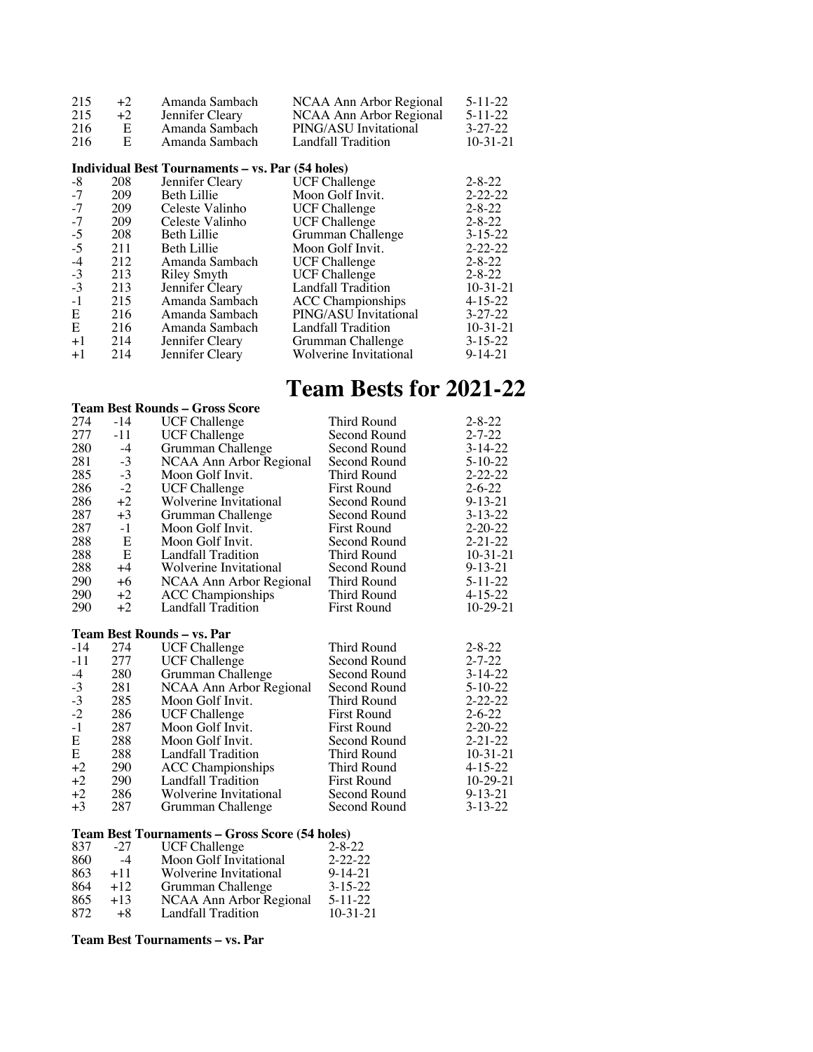| 215  | $+2$ | Amanda Sambach                                          | NCAA Ann Arbor Regional   | $5 - 11 - 22$ |
|------|------|---------------------------------------------------------|---------------------------|---------------|
| 215  | $+2$ | Jennifer Cleary                                         | NCAA Ann Arbor Regional   | $5 - 11 - 22$ |
| 216  | E    | Amanda Sambach                                          | PING/ASU Invitational     | $3 - 27 - 22$ |
| 216  | E    | Amanda Sambach                                          | Landfall Tradition        | $10-31-21$    |
|      |      | <b>Individual Best Tournaments - vs. Par (54 holes)</b> |                           |               |
| -8   | 208  | Jennifer Cleary                                         | <b>UCF Challenge</b>      | $2 - 8 - 22$  |
| $-7$ | 209  | Beth Lillie                                             | Moon Golf Invit.          | $2 - 22 - 22$ |
| $-7$ | 209  | Celeste Valinho                                         | <b>UCF Challenge</b>      | $2 - 8 - 22$  |
|      |      |                                                         |                           | $2 - 8 - 22$  |
| $-7$ | 209  | Celeste Valinho                                         | <b>UCF</b> Challenge      |               |
| $-5$ | 208  | <b>Beth Lillie</b>                                      | Grumman Challenge         | $3 - 15 - 22$ |
| $-5$ | 211  | <b>Beth Lillie</b>                                      | Moon Golf Invit.          | $2 - 22 - 22$ |
| $-4$ | 212  | Amanda Sambach                                          | <b>UCF Challenge</b>      | $2 - 8 - 22$  |
| $-3$ | 213  | Riley Smyth                                             | UCF Challenge             | $2 - 8 - 22$  |
| $-3$ | 213  | Jennifer Cleary                                         | <b>Landfall Tradition</b> | $10-31-21$    |
| $-1$ | 215  | Amanda Sambach                                          | <b>ACC</b> Championships  | $4 - 15 - 22$ |
| E    | 216  | Amanda Sambach                                          | PING/ASU Invitational     | $3 - 27 - 22$ |
| E    | 216  | Amanda Sambach                                          | Landfall Tradition        | $10-31-21$    |
| $+1$ | 214  | Jennifer Cleary                                         | Grumman Challenge         | $3 - 15 - 22$ |
| $+1$ | 214  | Jennifer Cleary                                         | Wolverine Invitational    | $9 - 14 - 21$ |
|      |      |                                                         |                           |               |

# **Team Bests for 2021-22**

|       |       | Team Best Rounds – Gross Score |                    |               |
|-------|-------|--------------------------------|--------------------|---------------|
| 274   | -14   | <b>UCF Challenge</b>           | Third Round        | $2 - 8 - 22$  |
| 277   | $-11$ | <b>UCF Challenge</b>           | Second Round       | $2 - 7 - 22$  |
| 280   | $-4$  | Grumman Challenge              | Second Round       | $3 - 14 - 22$ |
| 281   | $-3$  | NCAA Ann Arbor Regional        | Second Round       | $5 - 10 - 22$ |
| 285   | $-3$  | Moon Golf Invit.               | Third Round        | $2 - 22 - 22$ |
| 286   | $-2$  | <b>UCF Challenge</b>           | <b>First Round</b> | $2 - 6 - 22$  |
| 286   | $+2$  | Wolverine Invitational         | Second Round       | $9 - 13 - 21$ |
| 287   | $+3$  | Grumman Challenge              | Second Round       | $3 - 13 - 22$ |
| 287   | $-1$  | Moon Golf Invit.               | <b>First Round</b> | $2 - 20 - 22$ |
| 288   | Ε     | Moon Golf Invit.               | Second Round       | $2 - 21 - 22$ |
| 288   | E     | Landfall Tradition             | Third Round        | $10-31-21$    |
| 288   | $+4$  | Wolverine Invitational         | Second Round       | $9 - 13 - 21$ |
| 290   | $+6$  | NCAA Ann Arbor Regional        | Third Round        | $5 - 11 - 22$ |
| 290   | $+2$  | <b>ACC</b> Championships       | Third Round        | $4 - 15 - 22$ |
| 290   | $+2$  | Landfall Tradition             | <b>First Round</b> | 10-29-21      |
|       |       | Team Best Rounds - vs. Par     |                    |               |
| $-14$ | 274   | <b>UCF Challenge</b>           | Third Round        | $2 - 8 - 22$  |
| $-11$ | 277   | <b>UCF Challenge</b>           | Second Round       | $2 - 7 - 22$  |
| $-4$  | 280   | Grumman Challenge              | Second Round       | $3 - 14 - 22$ |
| $-3$  | 281   | NCAA Ann Arbor Regional        | Second Round       | $5 - 10 - 22$ |
| $-3$  | 285   | Moon Golf Invit.               | Third Round        | $2 - 22 - 22$ |
| $-2$  | 286   | <b>UCF Challenge</b>           | <b>First Round</b> | $2 - 6 - 22$  |
| $-1$  | 287   | Moon Golf Invit.               | <b>First Round</b> | $2 - 20 - 22$ |
| E     | 288   | Moon Golf Invit.               | Second Round       | $2 - 21 - 22$ |
| E     | 288   | Landfall Tradition             | Third Round        | $10-31-21$    |
| $+2$  | 290   | <b>ACC</b> Championships       | Third Round        | $4 - 15 - 22$ |
| $+2$  | 290   | Landfall Tradition             | <b>First Round</b> | 10-29-21      |
| $+2$  | 286   | Wolverine Invitational         | Second Round       | $9 - 13 - 21$ |
| $+3$  | 287   | Grumman Challenge              | Second Round       | $3 - 13 - 22$ |
|       |       |                                |                    |               |

#### **Team Best Tournaments – Gross Score (54 holes)**

| 837 | $-27$ | <b>UCF Challenge</b>    | $2 - 8 - 22$  |
|-----|-------|-------------------------|---------------|
| 860 | $-4$  | Moon Golf Invitational  | $2 - 22 - 22$ |
| 863 | $+11$ | Wolverine Invitational  | $9 - 14 - 21$ |
| 864 | $+12$ | Grumman Challenge       | $3 - 15 - 22$ |
| 865 | $+13$ | NCAA Ann Arbor Regional | $5 - 11 - 22$ |
| 872 | $+8$  | Landfall Tradition      | $10-31-21$    |

#### **Team Best Tournaments – vs. Par**